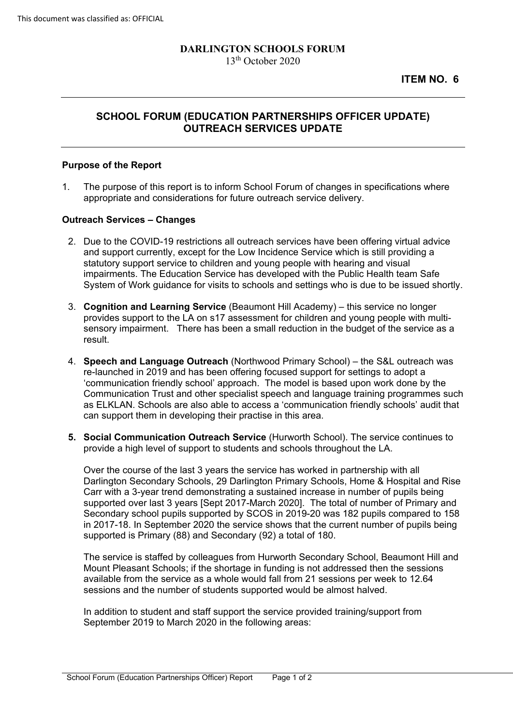# **DARLINGTON SCHOOLS FORUM**

13th October 2020

## **OUTREACH SERVICES UPDATE SCHOOL FORUM (EDUCATION PARTNERSHIPS OFFICER UPDATE)**

#### **Purpose of the Report**

1. The purpose of this report is to inform School Forum of changes in specifications where appropriate and considerations for future outreach service delivery.

### **Outreach Services – Changes**

- 2. Due to the COVID-19 restrictions all outreach services have been offering virtual advice and support currently, except for the Low Incidence Service which is still providing a statutory support service to children and young people with hearing and visual impairments. The Education Service has developed with the Public Health team Safe System of Work guidance for visits to schools and settings who is due to be issued shortly.
- 3. **Cognition and Learning Service** (Beaumont Hill Academy) this service no longer result. provides support to the LA on s17 assessment for children and young people with multisensory impairment. There has been a small reduction in the budget of the service as a
- result. 4. **Speech and Language Outreach** (Northwood Primary School) the S&L outreach was 'communication friendly school' approach. The model is based upon work done by the re-launched in 2019 and has been offering focused support for settings to adopt a Communication Trust and other specialist speech and language training programmes such as ELKLAN. Schools are also able to access a 'communication friendly schools' audit that can support them in developing their practise in this area.
- **5. Social Communication Outreach Service** (Hurworth School). The service continues to provide a high level of support to students and schools throughout the LA.

 supported over last 3 years [Sept 2017-March 2020]. The total of number of Primary and Over the course of the last 3 years the service has worked in partnership with all Darlington Secondary Schools, 29 Darlington Primary Schools, Home & Hospital and Rise Carr with a 3-year trend demonstrating a sustained increase in number of pupils being Secondary school pupils supported by SCOS in 2019-20 was 182 pupils compared to 158 in 2017-18. In September 2020 the service shows that the current number of pupils being supported is Primary (88) and Secondary (92) a total of 180.

 Mount Pleasant Schools; if the shortage in funding is not addressed then the sessions available from the service as a whole would fall from 21 sessions per week to 12.64 The service is staffed by colleagues from Hurworth Secondary School, Beaumont Hill and sessions and the number of students supported would be almost halved.

 In addition to student and staff support the service provided training/support from September 2019 to March 2020 in the following areas: